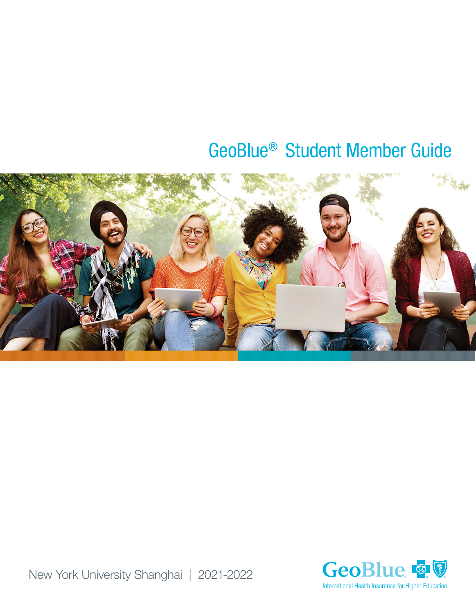# GeoBlue® Student Member Guide





New York University Shanghai | 2021-2022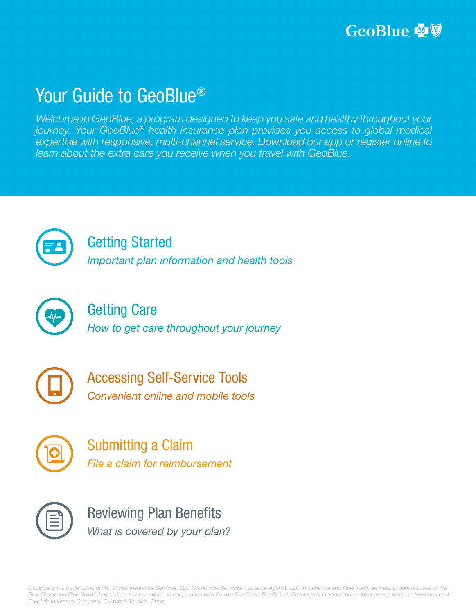# Your Guide to GeoBlue®

*Welcome to GeoBlue, a program designed to keep you safe and healthy throughout your journey. Your GeoBlue® health insurance plan provides you access to global medical expertise with responsive, multi-channel service. Download our app or register online to learn about the extra care you receive when you travel with GeoBlue.*



### [Getting Started](#page-2-0)

*[Important plan information and health tools](#page-2-1)*



### [Getting Care](#page-3-0) *[How to get care throughout your journey](#page-3-1)*



[Accessing Self-Service Tools](#page-6-0) *[Convenient online and mobile tools](#page-6-1)*



[Submitting a Claim](#page-7-0) *[File a claim for reimbursement](#page-7-1)* 



[Reviewing Plan Benefits](#page-8-0) *[What is covered by your plan?](#page-8-1)*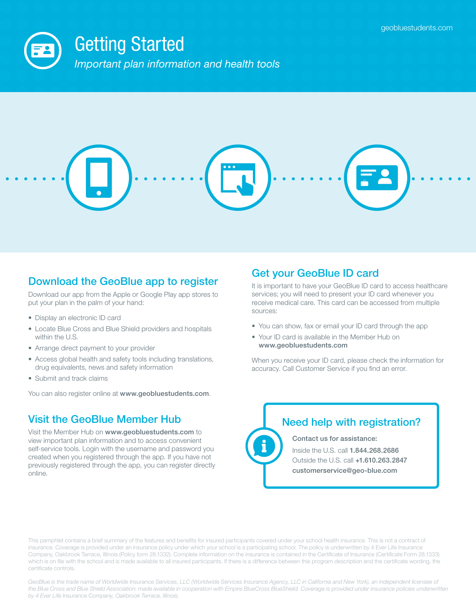<span id="page-2-1"></span><span id="page-2-0"></span>

### Download the GeoBlue app to register

Download our app from the Apple or Google Play app stores to put your plan in the palm of your hand:

- Display an electronic ID card
- Locate Blue Cross and Blue Shield providers and hospitals within the U.S.
- Arrange direct payment to your provider
- Access global health and safety tools including translations, drug equivalents, news and safety information
- Submit and track claims

You can also register online at [www.geobluestudents.com](http://www.geobluestudents.com).

### Visit the GeoBlue Member Hub

Visit the Member Hub on [www.geobluestudents.com](http://www.geobluestudents.com) to view important plan information and to access convenient self-service tools. Login with the username and password you created when you registered through the app. If you have not previously registered through the app, you can register directly online.

#### Get your GeoBlue ID card

It is important to have your GeoBlue ID card to access healthcare services; you will need to present your ID card whenever you receive medical care. This card can be accessed from multiple sources:

- You can show, fax or email your ID card through the app
- Your ID card is available in the Member Hub on [www.geobluestudents.com](http://www.geobluestudents.com)

When you receive your ID card, please check the information for accuracy. Call Customer Service if you find an error.

### Need help with registration?

Contact us for assistance:

Inside the U.S. call 1.844.268.2686 Outside the U.S. call +1.610.263.2847 [customerservice@geo-blue.com](mailto:customerservice@geo-blue.com)

This pamphlet contains a brief summary of the features and benefits for insured participants covered under your school health insurance. This is not a contract of insurance. Coverage is provided under an insurance policy under which your school is a participating school. The policy is underwritten by 4 Ever Life Insurance Company, Oakbrook Terrace, Illinois (Policy form 28.1332). Complete information on the insurance is contained in the Certificate of Insurance (Certificate Form 28.1333) which is on file with the school and is made available to all insured participants. If there is a difference between this program description and the certificate wording, the certificate controls.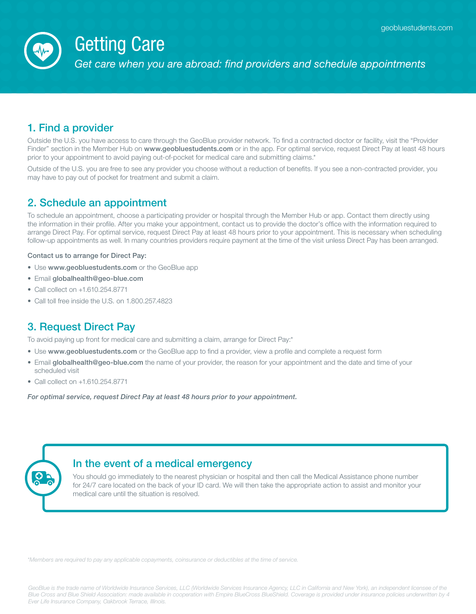

# <span id="page-3-0"></span>Getting Care

<span id="page-3-1"></span>*Get care when you are abroad: find providers and schedule appointments*

### 1. Find a provider

Outside the U.S. you have access to care through the GeoBlue provider network. To find a contracted doctor or facility, visit the "Provider Finder" section in the Member Hub on [www.geobluestudents.com](http://www.geobluestudents.com) or in the app. For optimal service, request Direct Pay at least 48 hours prior to your appointment to avoid paying out-of-pocket for medical care and submitting claims.\*

Outside of the U.S. you are free to see any provider you choose without a reduction of benefits. If you see a non-contracted provider, you may have to pay out of pocket for treatment and submit a claim.

#### 2. Schedule an appointment

To schedule an appointment, choose a participating provider or hospital through the Member Hub or app. Contact them directly using the information in their profile. After you make your appointment, contact us to provide the doctor's office with the information required to arrange Direct Pay. For optimal service, request Direct Pay at least 48 hours prior to your appointment. This is necessary when scheduling follow-up appointments as well. In many countries providers require payment at the time of the visit unless Direct Pay has been arranged.

Contact us to arrange for Direct Pay:

- Use [www.geobluestudents.com](http://www.geobluestudents.com) or the GeoBlue app
- Email [globalhealth@geo-blue.com](mailto:globalhealth@geo-blue.com)
- Call collect on +1.610.254.8771
- Call toll free inside the U.S. on 1.800.257.4823

#### 3. Request Direct Pay

To avoid paying up front for medical care and submitting a claim, arrange for Direct Pay:\*

- Use [www.geobluestudents.com](http://www.geobluestudents.com) or the GeoBlue app to find a provider, view a profile and complete a request form
- Email [globalhealth@geo-blue.com](mailto:globalhealth@geo-blue.com) the name of your provider, the reason for your appointment and the date and time of your scheduled visit
- Call collect on +1.610.254.8771

*For optimal service, request Direct Pay at least 48 hours prior to your appointment.* 

#### In the event of a medical emergency

You should go immediately to the nearest physician or hospital and then call the Medical Assistance phone number for 24/7 care located on the back of your ID card. We will then take the appropriate action to assist and monitor your medical care until the situation is resolved.

*\*Members are required to pay any applicable copayments, coinsurance or deductibles at the time of service.*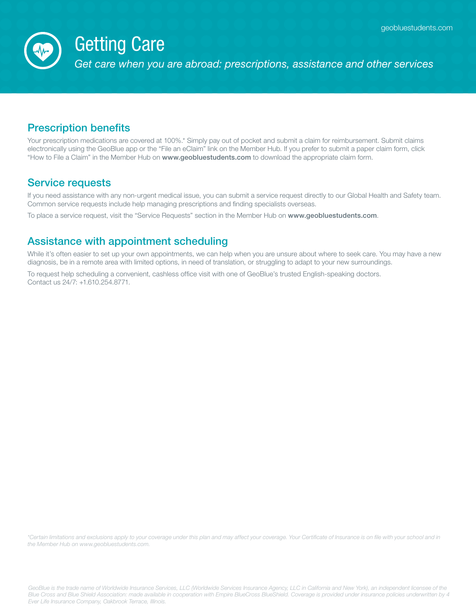

# Getting Care

*Get care when you are abroad: prescriptions, assistance and other services*

#### Prescription benefits

Your prescription medications are covered at 100%.\* Simply pay out of pocket and submit a claim for reimbursement. Submit claims electronically using the GeoBlue app or the "File an eClaim" link on the Member Hub. If you prefer to submit a paper claim form, click "How to File a Claim" in the Member Hub on [www.geobluestudents.com](http://www.geobluestudents.com) to download the appropriate claim form.

#### Service requests

If you need assistance with any non-urgent medical issue, you can submit a service request directly to our Global Health and Safety team. Common service requests include help managing prescriptions and finding specialists overseas.

To place a service request, visit the "Service Requests" section in the Member Hub on [www.geobluestudents.com](http://www.geobluestudents.com).

#### Assistance with appointment scheduling

While it's often easier to set up your own appointments, we can help when you are unsure about where to seek care. You may have a new diagnosis, be in a remote area with limited options, in need of translation, or struggling to adapt to your new surroundings.

To request help scheduling a convenient, cashless office visit with one of GeoBlue's trusted English-speaking doctors. Contact us 24/7: +1.610.254.8771.

*\*Certain limitations and exclusions apply to your coverage under this plan and may affect your coverage. Your Certificate of Insurance is on file with your school and in the Member Hub on [www.geobluestudents.com.](http://www.geobluestudents.com)*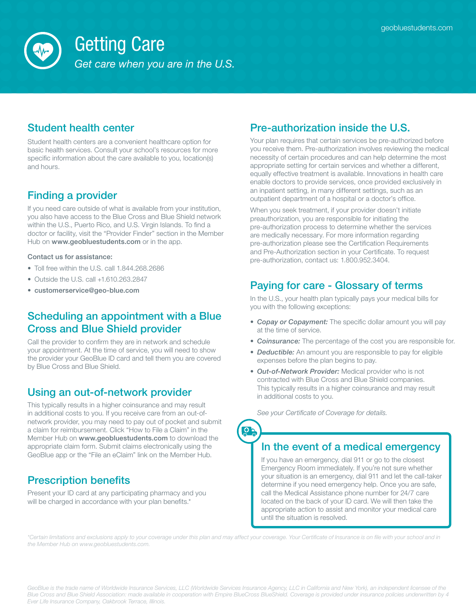

# Getting Care

*Get care when you are in the U.S.*

### Student health center

Student health centers are a convenient healthcare option for basic health services. Consult your school's resources for more specific information about the care available to you, location(s) and hours.

### Finding a provider

If you need care outside of what is available from your institution, you also have access to the Blue Cross and Blue Shield network within the U.S., Puerto Rico, and U.S. Virgin Islands. To find a doctor or facility, visit the "Provider Finder" section in the Member Hub on [www.geobluestudents.com](http://www.geobluestudents.com) or in the app.

#### Contact us for assistance:

- Toll free within the U.S. call 1.844.268.2686
- Outside the U.S. call +1.610.263.2847
- [customerservice@geo-blue.com](mailto:customerservice@geo-blue.com)

### Scheduling an appointment with a Blue Cross and Blue Shield provider

Call the provider to confirm they are in network and schedule your appointment. At the time of service, you will need to show the provider your GeoBlue ID card and tell them you are covered by Blue Cross and Blue Shield.

#### Using an out-of-network provider

This typically results in a higher coinsurance and may result in additional costs to you. If you receive care from an out-ofnetwork provider, you may need to pay out of pocket and submit a claim for reimbursement. Click "How to File a Claim" in the Member Hub on [www.geobluestudents.com](http://www.geobluestudents.com) to download the appropriate claim form. Submit claims electronically using the GeoBlue app or the "File an eClaim" link on the Member Hub.

### Prescription benefits

Present your ID card at any participating pharmacy and you will be charged in accordance with your plan benefits.\*

### Pre-authorization inside the U.S.

Your plan requires that certain services be pre-authorized before you receive them. Pre-authorization involves reviewing the medical necessity of certain procedures and can help determine the most appropriate setting for certain services and whether a different, equally effective treatment is available. Innovations in health care enable doctors to provide services, once provided exclusively in an inpatient setting, in many different settings, such as an outpatient department of a hospital or a doctor's office.

When you seek treatment, if your provider doesn't initiate preauthorization, you are responsible for initiating the pre-authorization process to determine whether the services are medically necessary. For more information regarding pre-authorization please see the Certification Requirements and Pre-Authorization section in your Certificate. To request pre-authorization, contact us: 1.800.952.3404.

#### Paying for care - Glossary of terms

In the U.S., your health plan typically pays your medical bills for you with the following exceptions:

- *Copay or Copayment:* The specific dollar amount you will pay at the time of service.
- *Coinsurance:* The percentage of the cost you are responsible for.
- *Deductible:* An amount you are responsible to pay for eligible expenses before the plan begins to pay.
- *Out-of-Network Provider:* Medical provider who is not contracted with Blue Cross and Blue Shield companies. This typically results in a higher coinsurance and may result in additional costs to you.

*See your Certificate of Coverage for details.*



#### In the event of a medical emergency

If you have an emergency, dial 911 or go to the closest Emergency Room immediately. If you're not sure whether your situation is an emergency, dial 911 and let the call-taker determine if you need emergency help. Once you are safe, call the Medical Assistance phone number for 24/7 care located on the back of your ID card. We will then take the appropriate action to assist and monitor your medical care until the situation is resolved.

*\*Certain limitations and exclusions apply to your coverage under this plan and may affect your coverage. Your Certificate of Insurance is on file with your school and in the Member Hub on [www.geobluestudents.com.](http://www.geobluestudents.com)*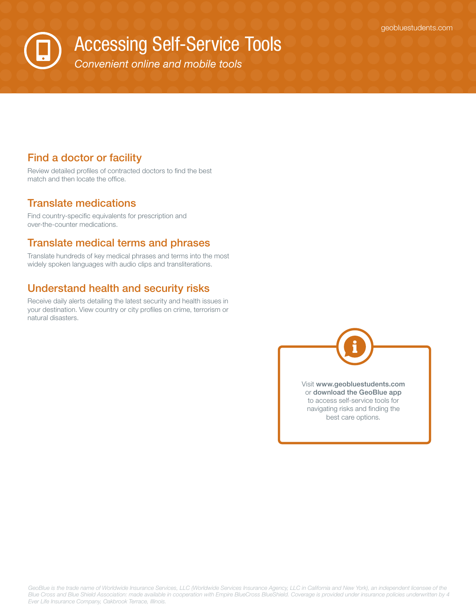<span id="page-6-0"></span>Accessing Self-Service Tools

<span id="page-6-1"></span>*Convenient online and mobile tools*

#### Find a doctor or facility

Review detailed profiles of contracted doctors to find the best match and then locate the office.

#### Translate medications

Find country-specific equivalents for prescription and over-the-counter medications.

#### Translate medical terms and phrases

Translate hundreds of key medical phrases and terms into the most widely spoken languages with audio clips and transliterations.

#### Understand health and security risks

Receive daily alerts detailing the latest security and health issues in your destination. View country or city profiles on crime, terrorism or natural disasters.

> Visit [www.geobluestudents.com](http://www.geobluestudents.com) or download the GeoBlue app to access self-service tools for navigating risks and finding the best care options.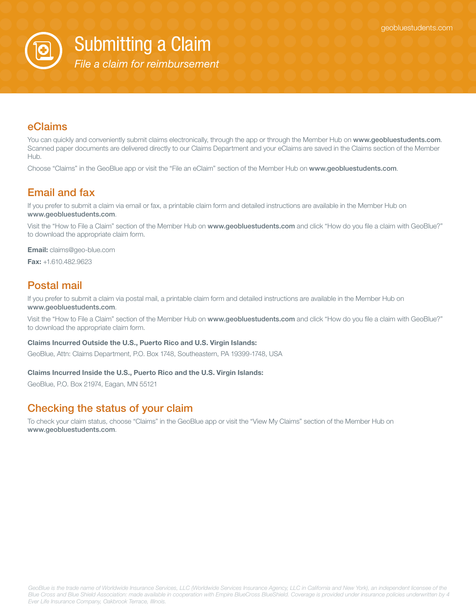

<span id="page-7-0"></span>Submitting a Claim

<span id="page-7-1"></span>*File a claim for reimbursement* 

#### eClaims

You can quickly and conveniently submit claims electronically, through the app or through the Member Hub on [www.geobluestudents.com](http://www.geobluestudents.com). Scanned paper documents are delivered directly to our Claims Department and your eClaims are saved in the Claims section of the Member Hub.

Choose "Claims" in the GeoBlue app or visit the "File an eClaim" section of the Member Hub on [www.geobluestudents.com](http://www.geobluestudents.com).

### Email and fax

If you prefer to submit a claim via email or fax, a printable claim form and detailed instructions are available in the Member Hub on [www.geobluestudents.com](http://www.geobluestudents.com).

Visit the "How to File a Claim" section of the Member Hub on [www.geobluestudents.com](http://www.geobluestudents.com) and click "How do you file a claim with GeoBlue?" to download the appropriate claim form.

Email: [claims@geo-blue.com](mailto:claims@geo-blue.com)

Fax: +1.610.482.9623

#### Postal mail

If you prefer to submit a claim via postal mail, a printable claim form and detailed instructions are available in the Member Hub on [www.geobluestudents.com](http://www.geobluestudents.com).

Visit the "How to File a Claim" section of the Member Hub on [www.geobluestudents.com](http://www.geobluestudents.com) and click "How do you file a claim with GeoBlue?" to download the appropriate claim form.

#### Claims Incurred Outside the U.S., Puerto Rico and U.S. Virgin Islands:

GeoBlue, Attn: Claims Department, P.O. Box 1748, Southeastern, PA 19399-1748, USA

#### Claims Incurred Inside the U.S., Puerto Rico and the U.S. Virgin Islands:

GeoBlue, P.O. Box 21974, Eagan, MN 55121

#### Checking the status of your claim

To check your claim status, choose "Claims" in the GeoBlue app or visit the "View My Claims" section of the Member Hub on [www.geobluestudents.com](http://www.geobluestudents.com).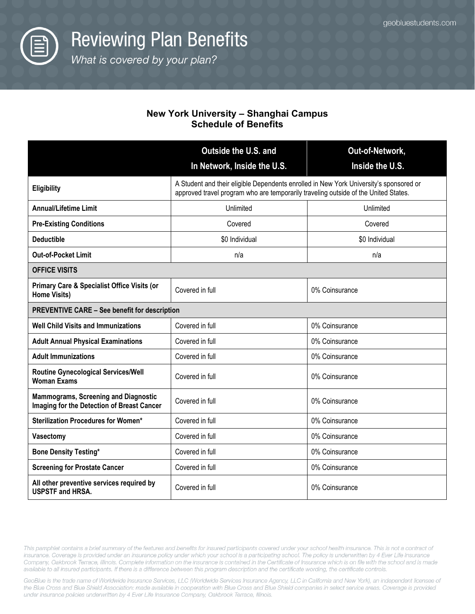

<span id="page-8-1"></span><span id="page-8-0"></span>*What* is *covered by your plan?* 

#### **New York University – Shanghai Campus Schedule of Benefits**

|                                                                                           | Outside the U.S. and                                                                                                                                                          | Out-of-Network, |
|-------------------------------------------------------------------------------------------|-------------------------------------------------------------------------------------------------------------------------------------------------------------------------------|-----------------|
|                                                                                           | In Network, Inside the U.S.                                                                                                                                                   | Inside the U.S. |
| Eligibility                                                                               | A Student and their eligible Dependents enrolled in New York University's sponsored or<br>approved travel program who are temporarily traveling outside of the United States. |                 |
| <b>Annual/Lifetime Limit</b>                                                              | Unlimited                                                                                                                                                                     | Unlimited       |
| <b>Pre-Existing Conditions</b>                                                            | Covered                                                                                                                                                                       | Covered         |
| <b>Deductible</b>                                                                         | \$0 Individual                                                                                                                                                                | \$0 Individual  |
| <b>Out-of-Pocket Limit</b>                                                                | n/a                                                                                                                                                                           | n/a             |
| <b>OFFICE VISITS</b>                                                                      |                                                                                                                                                                               |                 |
| <b>Primary Care &amp; Specialist Office Visits (or</b><br><b>Home Visits)</b>             | Covered in full                                                                                                                                                               | 0% Coinsurance  |
| <b>PREVENTIVE CARE - See benefit for description</b>                                      |                                                                                                                                                                               |                 |
| <b>Well Child Visits and Immunizations</b>                                                | Covered in full                                                                                                                                                               | 0% Coinsurance  |
| <b>Adult Annual Physical Examinations</b>                                                 | Covered in full                                                                                                                                                               | 0% Coinsurance  |
| <b>Adult Immunizations</b>                                                                | Covered in full                                                                                                                                                               | 0% Coinsurance  |
| <b>Routine Gynecological Services/Well</b><br><b>Woman Exams</b>                          | Covered in full                                                                                                                                                               | 0% Coinsurance  |
| <b>Mammograms, Screening and Diagnostic</b><br>Imaging for the Detection of Breast Cancer | Covered in full                                                                                                                                                               | 0% Coinsurance  |
| Sterilization Procedures for Women*                                                       | Covered in full                                                                                                                                                               | 0% Coinsurance  |
| Vasectomy                                                                                 | Covered in full                                                                                                                                                               | 0% Coinsurance  |
| <b>Bone Density Testing*</b>                                                              | Covered in full                                                                                                                                                               | 0% Coinsurance  |
| <b>Screening for Prostate Cancer</b>                                                      | Covered in full                                                                                                                                                               | 0% Coinsurance  |
| All other preventive services required by<br><b>USPSTF and HRSA.</b>                      | Covered in full                                                                                                                                                               | 0% Coinsurance  |

This pamphlet contains a brief summary of the features and benefits for insured participants covered under your school health insurance. This is not a contract of insurance. Coverage is provided under an insurance policy under which your school is a participating school. The policy is underwritten by 4 Ever Life Insurance Company, Oakbrook Terrace, Illinois. Complete information on the insurance is contained in the Certificate of Insurance which is on file with the school and is made available to all insured participants. If there is a difference between this program description and the certificate wording, the certificate controls.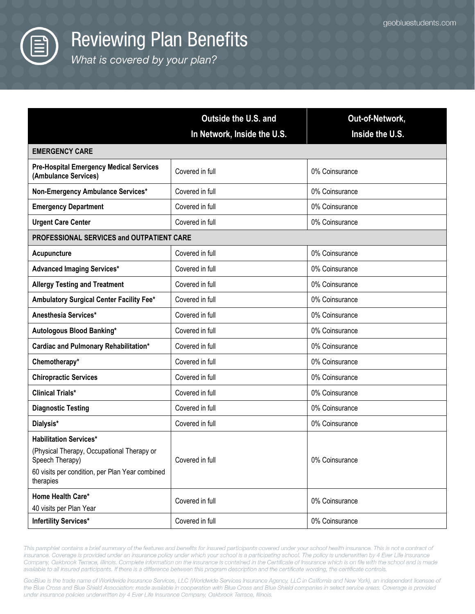

What is covered by your plan?

|                                                                                                                                                                | Outside the U.S. and<br>In Network, Inside the U.S. | Out-of-Network,<br>Inside the U.S. |
|----------------------------------------------------------------------------------------------------------------------------------------------------------------|-----------------------------------------------------|------------------------------------|
| <b>EMERGENCY CARE</b>                                                                                                                                          |                                                     |                                    |
| <b>Pre-Hospital Emergency Medical Services</b><br>(Ambulance Services)                                                                                         | Covered in full                                     | 0% Coinsurance                     |
| Non-Emergency Ambulance Services*                                                                                                                              | Covered in full                                     | 0% Coinsurance                     |
| <b>Emergency Department</b>                                                                                                                                    | Covered in full                                     | 0% Coinsurance                     |
| <b>Urgent Care Center</b>                                                                                                                                      | Covered in full                                     | 0% Coinsurance                     |
| PROFESSIONAL SERVICES and OUTPATIENT CARE                                                                                                                      |                                                     |                                    |
| Acupuncture                                                                                                                                                    | Covered in full                                     | 0% Coinsurance                     |
| <b>Advanced Imaging Services*</b>                                                                                                                              | Covered in full                                     | 0% Coinsurance                     |
| <b>Allergy Testing and Treatment</b>                                                                                                                           | Covered in full                                     | 0% Coinsurance                     |
| Ambulatory Surgical Center Facility Fee*                                                                                                                       | Covered in full                                     | 0% Coinsurance                     |
| Anesthesia Services*                                                                                                                                           | Covered in full                                     | 0% Coinsurance                     |
| Autologous Blood Banking*                                                                                                                                      | Covered in full                                     | 0% Coinsurance                     |
| Cardiac and Pulmonary Rehabilitation*                                                                                                                          | Covered in full                                     | 0% Coinsurance                     |
| Chemotherapy*                                                                                                                                                  | Covered in full                                     | 0% Coinsurance                     |
| <b>Chiropractic Services</b>                                                                                                                                   | Covered in full                                     | 0% Coinsurance                     |
| <b>Clinical Trials*</b>                                                                                                                                        | Covered in full                                     | 0% Coinsurance                     |
| <b>Diagnostic Testing</b>                                                                                                                                      | Covered in full                                     | 0% Coinsurance                     |
| Dialysis*                                                                                                                                                      | Covered in full                                     | 0% Coinsurance                     |
| <b>Habilitation Services*</b><br>(Physical Therapy, Occupational Therapy or<br>Speech Therapy)<br>60 visits per condition, per Plan Year combined<br>therapies | Covered in full                                     | 0% Coinsurance                     |
| Home Health Care*<br>40 visits per Plan Year                                                                                                                   | Covered in full                                     | 0% Coinsurance                     |
| <b>Infertility Services*</b>                                                                                                                                   | Covered in full                                     | 0% Coinsurance                     |

This pamphlet contains a brief summary of the features and benefits for insured participants covered under your school health insurance. This is not a contract of insurance. Coverage is provided under an insurance policy under which your school is a participating school. The policy is underwritten by 4 Ever Life Insurance Company, Oakbrook Terrace, Illinois. Complete information on the insurance is contained in the Certificate of Insurance which is on file with the school and is made available to all insured participants. If there is a difference between this program description and the certificate wording, the certificate controls.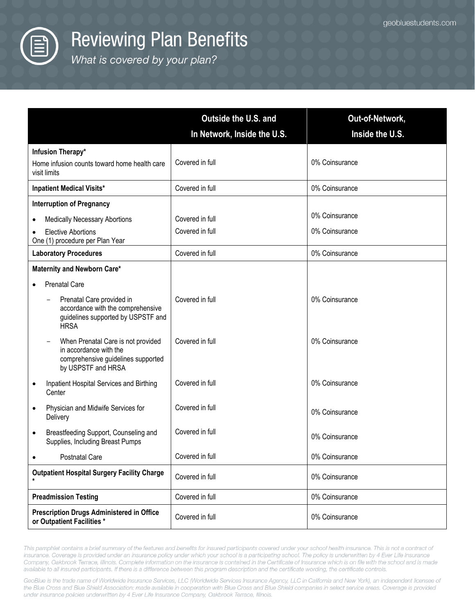

What is covered by your plan?

|                                                                                                                          | <b>Outside the U.S. and</b> | Out-of-Network, |
|--------------------------------------------------------------------------------------------------------------------------|-----------------------------|-----------------|
|                                                                                                                          | In Network, Inside the U.S. | Inside the U.S. |
| Infusion Therapy*                                                                                                        |                             |                 |
| Home infusion counts toward home health care<br>visit limits                                                             | Covered in full             | 0% Coinsurance  |
| <b>Inpatient Medical Visits*</b>                                                                                         | Covered in full             | 0% Coinsurance  |
| <b>Interruption of Pregnancy</b>                                                                                         |                             |                 |
| <b>Medically Necessary Abortions</b><br>٠                                                                                | Covered in full             | 0% Coinsurance  |
| <b>Elective Abortions</b><br>One (1) procedure per Plan Year                                                             | Covered in full             | 0% Coinsurance  |
| <b>Laboratory Procedures</b>                                                                                             | Covered in full             | 0% Coinsurance  |
| Maternity and Newborn Care*                                                                                              |                             |                 |
| <b>Prenatal Care</b>                                                                                                     |                             |                 |
| Prenatal Care provided in<br>accordance with the comprehensive<br>guidelines supported by USPSTF and<br><b>HRSA</b>      | Covered in full             | 0% Coinsurance  |
| When Prenatal Care is not provided<br>in accordance with the<br>comprehensive guidelines supported<br>by USPSTF and HRSA | Covered in full             | 0% Coinsurance  |
| Inpatient Hospital Services and Birthing<br>Center                                                                       | Covered in full             | 0% Coinsurance  |
| Physician and Midwife Services for<br>Delivery                                                                           | Covered in full             | 0% Coinsurance  |
| Breastfeeding Support, Counseling and<br>$\bullet$<br>Supplies, Including Breast Pumps                                   | Covered in full             | 0% Coinsurance  |
| Postnatal Care                                                                                                           | Covered in full             | 0% Coinsurance  |
| <b>Outpatient Hospital Surgery Facility Charge</b>                                                                       | Covered in full             | 0% Coinsurance  |
| <b>Preadmission Testing</b>                                                                                              | Covered in full             | 0% Coinsurance  |
| <b>Prescription Drugs Administered in Office</b><br>or Outpatient Facilities *                                           | Covered in full             | 0% Coinsurance  |

This pamphlet contains a brief summary of the features and benefits for insured participants covered under your school health insurance. This is not a contract of insurance. Coverage is provided under an insurance policy under which your school is a participating school. The policy is underwritten by 4 Ever Life Insurance Company, Oakbrook Terrace, Illinois. Complete information on the insurance is contained in the Certificate of Insurance which is on file with the school and is made available to all insured participants. If there is a difference between this program description and the certificate wording, the certificate controls.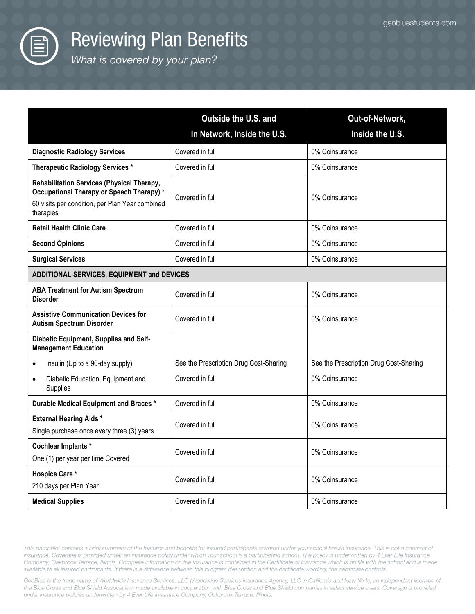

What is covered by your plan?

|                                                                                                                                                         | Outside the U.S. and                   | Out-of-Network,                        |
|---------------------------------------------------------------------------------------------------------------------------------------------------------|----------------------------------------|----------------------------------------|
|                                                                                                                                                         | In Network, Inside the U.S.            | Inside the U.S.                        |
| <b>Diagnostic Radiology Services</b>                                                                                                                    | Covered in full                        | 0% Coinsurance                         |
| <b>Therapeutic Radiology Services *</b>                                                                                                                 | Covered in full                        | 0% Coinsurance                         |
| Rehabilitation Services (Physical Therapy,<br>Occupational Therapy or Speech Therapy) *<br>60 visits per condition, per Plan Year combined<br>therapies | Covered in full                        | 0% Coinsurance                         |
| <b>Retail Health Clinic Care</b>                                                                                                                        | Covered in full                        | 0% Coinsurance                         |
| <b>Second Opinions</b>                                                                                                                                  | Covered in full                        | 0% Coinsurance                         |
| <b>Surgical Services</b>                                                                                                                                | Covered in full                        | 0% Coinsurance                         |
| ADDITIONAL SERVICES, EQUIPMENT and DEVICES                                                                                                              |                                        |                                        |
| <b>ABA Treatment for Autism Spectrum</b><br><b>Disorder</b>                                                                                             | Covered in full                        | 0% Coinsurance                         |
| <b>Assistive Communication Devices for</b><br><b>Autism Spectrum Disorder</b>                                                                           | Covered in full                        | 0% Coinsurance                         |
| Diabetic Equipment, Supplies and Self-<br><b>Management Education</b>                                                                                   |                                        |                                        |
| Insulin (Up to a 90-day supply)<br>$\bullet$                                                                                                            | See the Prescription Drug Cost-Sharing | See the Prescription Drug Cost-Sharing |
| Diabetic Education, Equipment and<br>$\bullet$<br>Supplies                                                                                              | Covered in full                        | 0% Coinsurance                         |
| Durable Medical Equipment and Braces *                                                                                                                  | Covered in full                        | 0% Coinsurance                         |
| <b>External Hearing Aids*</b><br>Single purchase once every three (3) years                                                                             | Covered in full                        | 0% Coinsurance                         |
| Cochlear Implants *<br>One (1) per year per time Covered                                                                                                | Covered in full                        | 0% Coinsurance                         |
| <b>Hospice Care*</b><br>210 days per Plan Year                                                                                                          | Covered in full                        | 0% Coinsurance                         |
| <b>Medical Supplies</b>                                                                                                                                 | Covered in full                        | 0% Coinsurance                         |

This pamphlet contains a brief summary of the features and benefits for insured participants covered under your school health insurance. This is not a contract of insurance. Coverage is provided under an insurance policy under which your school is a participating school. The policy is underwritten by 4 Ever Life Insurance Company, Oakbrook Terrace, Illinois. Complete information on the insurance is contained in the Certificate of Insurance which is on file with the school and is made available to all insured participants. If there is a difference between this program description and the certificate wording, the certificate controls.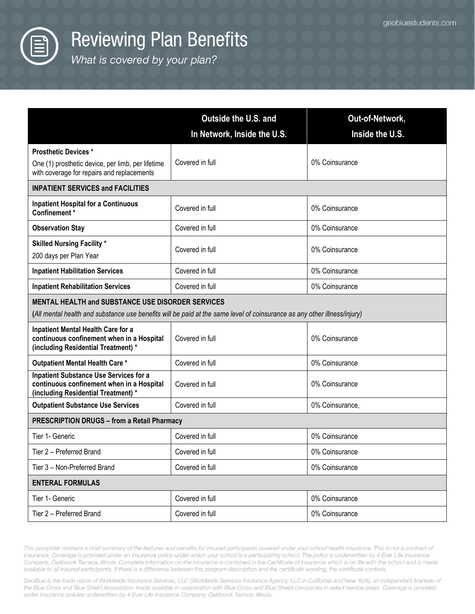

What is covered by your plan?

|                                                                                                                                                                                      | <b>Outside the U.S. and</b><br>In Network, Inside the U.S. | Out-of-Network,<br>Inside the U.S. |
|--------------------------------------------------------------------------------------------------------------------------------------------------------------------------------------|------------------------------------------------------------|------------------------------------|
| <b>Prosthetic Devices*</b>                                                                                                                                                           |                                                            |                                    |
| One (1) prosthetic device, per limb, per lifetime<br>with coverage for repairs and replacements                                                                                      | Covered in full                                            | 0% Coinsurance                     |
| <b>INPATIENT SERVICES and FACILITIES</b>                                                                                                                                             |                                                            |                                    |
| <b>Inpatient Hospital for a Continuous</b><br>Confinement*                                                                                                                           | Covered in full                                            | 0% Coinsurance                     |
| <b>Observation Stay</b>                                                                                                                                                              | Covered in full                                            | 0% Coinsurance                     |
| <b>Skilled Nursing Facility *</b><br>200 days per Plan Year                                                                                                                          | Covered in full                                            | 0% Coinsurance                     |
| <b>Inpatient Habilitation Services</b>                                                                                                                                               | Covered in full                                            | 0% Coinsurance                     |
| <b>Inpatient Rehabilitation Services</b>                                                                                                                                             | Covered in full                                            | 0% Coinsurance                     |
| <b>MENTAL HEALTH and SUBSTANCE USE DISORDER SERVICES</b><br>(All mental health and substance use benefits will be paid at the same level of coinsurance as any other illness/injury) |                                                            |                                    |
| Inpatient Mental Health Care for a<br>continuous confinement when in a Hospital<br>(including Residential Treatment) *                                                               | Covered in full                                            | 0% Coinsurance                     |
| Outpatient Mental Health Care*                                                                                                                                                       | Covered in full                                            | 0% Coinsurance                     |
| <b>Inpatient Substance Use Services for a</b><br>continuous confinement when in a Hospital<br>(including Residential Treatment) *                                                    | Covered in full                                            | 0% Coinsurance                     |
| <b>Outpatient Substance Use Services</b>                                                                                                                                             | Covered in full                                            | 0% Coinsurance,                    |
| <b>PRESCRIPTION DRUGS - from a Retail Pharmacy</b>                                                                                                                                   |                                                            |                                    |
| Tier 1- Generic                                                                                                                                                                      | Covered in full                                            | 0% Coinsurance                     |
| Tier 2 - Preferred Brand                                                                                                                                                             | Covered in full                                            | 0% Coinsurance                     |
| Tier 3 - Non-Preferred Brand                                                                                                                                                         | Covered in full                                            | 0% Coinsurance                     |
| <b>ENTERAL FORMULAS</b>                                                                                                                                                              |                                                            |                                    |
| Tier 1- Generic                                                                                                                                                                      | Covered in full                                            | 0% Coinsurance                     |
| Tier 2 - Preferred Brand                                                                                                                                                             | Covered in full                                            | 0% Coinsurance                     |

This pamphlet contains a brief summary of the features and benefits for insured participants covered under your school health insurance. This is not a contract of insurance. Coverage is provided under an insurance policy under which your school is a participating school. The policy is underwritten by 4 Ever Life Insurance Company, Oakbrook Terrace, Illinois. Complete information on the insurance is contained in the Certificate of Insurance which is on file with the school and is made available to all insured participants. If there is a difference between this program description and the certificate wording, the certificate controls.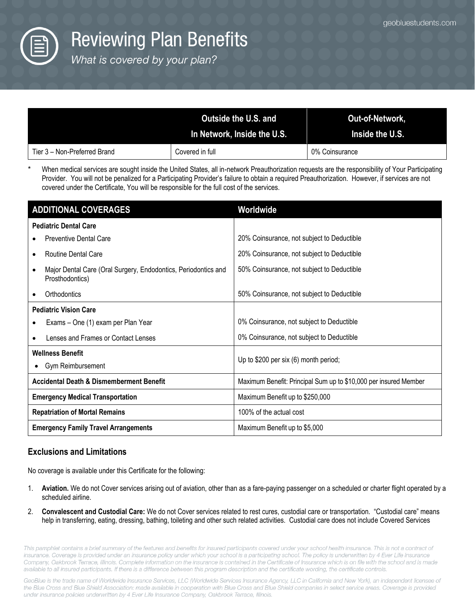

What is covered by your plan?

|                              | Outside the U.S. and<br>In Network, Inside the U.S. | Out-of-Network,<br><b>Inside the U.S.</b> |
|------------------------------|-----------------------------------------------------|-------------------------------------------|
| Tier 3 – Non-Preferred Brand | Covered in full                                     | 0% Coinsurance                            |

When medical services are sought inside the United States, all in-network Preauthorization requests are the responsibility of Your Participating Provider. You will not be penalized for a Participating Provider's failure to obtain a required Preauthorization. However, if services are not covered under the Certificate, You will be responsible for the full cost of the services.

| <b>ADDITIONAL COVERAGES</b>                                                                    | Worldwide                                                        |
|------------------------------------------------------------------------------------------------|------------------------------------------------------------------|
| <b>Pediatric Dental Care</b>                                                                   |                                                                  |
| <b>Preventive Dental Care</b>                                                                  | 20% Coinsurance, not subject to Deductible                       |
| <b>Routine Dental Care</b><br>$\bullet$                                                        | 20% Coinsurance, not subject to Deductible                       |
| Major Dental Care (Oral Surgery, Endodontics, Periodontics and<br>$\bullet$<br>Prosthodontics) | 50% Coinsurance, not subject to Deductible                       |
| Orthodontics                                                                                   | 50% Coinsurance, not subject to Deductible                       |
| <b>Pediatric Vision Care</b>                                                                   |                                                                  |
| Exams - One (1) exam per Plan Year                                                             | 0% Coinsurance, not subject to Deductible                        |
| Lenses and Frames or Contact Lenses                                                            | 0% Coinsurance, not subject to Deductible                        |
| <b>Wellness Benefit</b><br>Gym Reimbursement<br>$\bullet$                                      | Up to \$200 per six (6) month period;                            |
| <b>Accidental Death &amp; Dismemberment Benefit</b>                                            | Maximum Benefit: Principal Sum up to \$10,000 per insured Member |
| <b>Emergency Medical Transportation</b>                                                        | Maximum Benefit up to \$250,000                                  |
| <b>Repatriation of Mortal Remains</b>                                                          | 100% of the actual cost                                          |
| <b>Emergency Family Travel Arrangements</b>                                                    | Maximum Benefit up to \$5,000                                    |

#### **Exclusions and Limitations**

No coverage is available under this Certificate for the following:

- 1. **Aviation.** We do not Cover services arising out of aviation, other than as a fare-paying passenger on a scheduled or charter flight operated by a scheduled airline.
- 2. **Convalescent and Custodial Care:** We do not Cover services related to rest cures, custodial care or transportation. "Custodial care" means help in transferring, eating, dressing, bathing, toileting and other such related activities. Custodial care does not include Covered Services

This pamphlet contains a brief summary of the features and benefits for insured participants covered under your school health insurance. This is not a contract of insurance. Coverage is provided under an insurance policy under which your school is a participating school. The policy is underwritten by 4 Ever Life Insurance Company, Oakbrook Terrace, Illinois. Complete information on the insurance is contained in the Certificate of Insurance which is on file with the school and is made available to all insured participants. If there is a difference between this program description and the certificate wording, the certificate controls.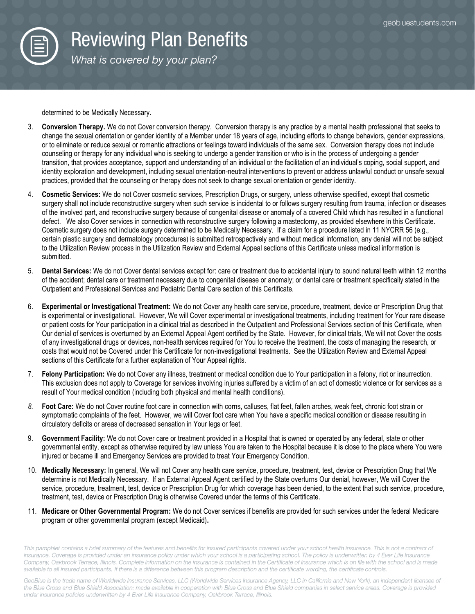

What is covered by your plan?

determined to be Medically Necessary.

- 3. **Conversion Therapy.** We do not Cover conversion therapy. Conversion therapy is any practice by a mental health professional that seeks to change the sexual orientation or gender identity of a Member under 18 years of age, including efforts to change behaviors, gender expressions, or to eliminate or reduce sexual or romantic attractions or feelings toward individuals of the same sex. Conversion therapy does not include counseling or therapy for any individual who is seeking to undergo a gender transition or who is in the process of undergoing a gender transition, that provides acceptance, support and understanding of an individual or the facilitation of an individual's coping, social support, and identity exploration and development, including sexual orientation-neutral interventions to prevent or address unlawful conduct or unsafe sexual practices, provided that the counseling or therapy does not seek to change sexual orientation or gender identity.
- 4. **Cosmetic Services:** We do not Cover cosmetic services, Prescription Drugs, or surgery, unless otherwise specified, except that cosmetic surgery shall not include reconstructive surgery when such service is incidental to or follows surgery resulting from trauma, infection or diseases of the involved part, and reconstructive surgery because of congenital disease or anomaly of a covered Child which has resulted in a functional defect. We also Cover services in connection with reconstructive surgery following a mastectomy, as provided elsewhere in this Certificate. Cosmetic surgery does not include surgery determined to be Medically Necessary. If a claim for a procedure listed in 11 NYCRR 56 (e.g., certain plastic surgery and dermatology procedures) is submitted retrospectively and without medical information, any denial will not be subject to the Utilization Review process in the Utilization Review and External Appeal sections of this Certificate unless medical information is submitted.
- 5. **Dental Services:** We do not Cover dental services except for: care or treatment due to accidental injury to sound natural teeth within 12 months of the accident; dental care or treatment necessary due to congenital disease or anomaly; or dental care or treatment specifically stated in the Outpatient and Professional Services and Pediatric Dental Care section of this Certificate*.*
- 6. **Experimental or Investigational Treatment:** We do not Cover any health care service, procedure, treatment, device or Prescription Drug that is experimental or investigational. However, We will Cover experimental or investigational treatments, including treatment for Your rare disease or patient costs for Your participation in a clinical trial as described in the Outpatient and Professional Services section of this Certificate, when Our denial of services is overturned by an External Appeal Agent certified by the State. However, for clinical trials, We will not Cover the costs of any investigational drugs or devices, non-health services required for You to receive the treatment, the costs of managing the research, or costs that would not be Covered under this Certificate for non-investigational treatments. See the Utilization Review and External Appeal sections of this Certificate for a further explanation of Your Appeal rights.
- 7. **Felony Participation:** We do not Cover any illness, treatment or medical condition due to Your participation in a felony, riot or insurrection. This exclusion does not apply to Coverage for services involving injuries suffered by a victim of an act of domestic violence or for services as a result of Your medical condition (including both physical and mental health conditions).
- *8.* **Foot Care:** We do not Cover routine foot care in connection with corns, calluses, flat feet, fallen arches, weak feet, chronic foot strain or symptomatic complaints of the feet. However, we will Cover foot care when You have a specific medical condition or disease resulting in circulatory deficits or areas of decreased sensation in Your legs or feet.
- 9. **Government Facility:** We do not Cover care or treatment provided in a Hospital that is owned or operated by any federal, state or other governmental entity, except as otherwise required by law unless You are taken to the Hospital because it is close to the place where You were injured or became ill and Emergency Services are provided to treat Your Emergency Condition.
- 10. **Medically Necessary:** In general, We will not Cover any health care service, procedure, treatment, test, device or Prescription Drug that We determine is not Medically Necessary. If an External Appeal Agent certified by the State overturns Our denial, however, We will Cover the service, procedure, treatment, test, device or Prescription Drug for which coverage has been denied, to the extent that such service, procedure, treatment, test, device or Prescription Drug is otherwise Covered under the terms of this Certificate.
- 11. **Medicare or Other Governmental Program:** We do not Cover services if benefits are provided for such services under the federal Medicare program or other governmental program (except Medicaid)**.**

This pamphlet contains a brief summary of the features and benefits for insured participants covered under your school health insurance. This is not a contract of insurance. Coverage is provided under an insurance policy under which your school is a participating school. The policy is underwritten by 4 Ever Life Insurance Company, Oakbrook Terrace, Illinois. Complete information on the insurance is contained in the Certificate of Insurance which is on file with the school and is made available to all insured participants. If there is a difference between this program description and the certificate wording, the certificate controls.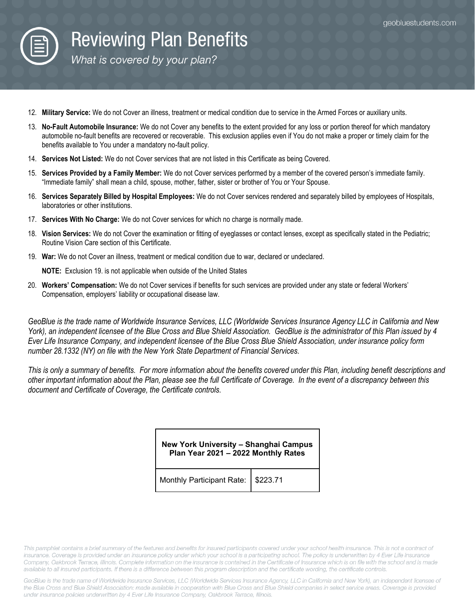

What is covered by your plan?

- 12. **Military Service:** We do not Cover an illness, treatment or medical condition due to service in the Armed Forces or auxiliary units.
- 13. **No-Fault Automobile Insurance:** We do not Cover any benefits to the extent provided for any loss or portion thereof for which mandatory automobile no-fault benefits are recovered or recoverable. This exclusion applies even if You do not make a proper or timely claim for the benefits available to You under a mandatory no-fault policy.
- 14. **Services Not Listed:** We do not Cover services that are not listed in this Certificate as being Covered.
- 15. **Services Provided by a Family Member:** We do not Cover services performed by a member of the covered person's immediate family. "Immediate family" shall mean a child, spouse, mother, father, sister or brother of You or Your Spouse.
- 16. **Services Separately Billed by Hospital Employees:** We do not Cover services rendered and separately billed by employees of Hospitals, laboratories or other institutions.
- 17. **Services With No Charge:** We do not Cover services for which no charge is normally made.
- 18. **Vision Services:** We do not Cover the examination or fitting of eyeglasses or contact lenses, except as specifically stated in the Pediatric; Routine Vision Care section of this Certificate.
- 19. **War:** We do not Cover an illness, treatment or medical condition due to war, declared or undeclared.

**NOTE:** Exclusion 19. is not applicable when outside of the United States

20. **Workers' Compensation:** We do not Cover services if benefits for such services are provided under any state or federal Workers' Compensation, employers' liability or occupational disease law.

*GeoBlue is the trade name of Worldwide Insurance Services, LLC (Worldwide Services Insurance Agency LLC in California and New York), an independent licensee of the Blue Cross and Blue Shield Association. GeoBlue is the administrator of this Plan issued by 4 Ever Life Insurance Company, and independent licensee of the Blue Cross Blue Shield Association, under insurance policy form number 28.1332 (NY) on file with the New York State Department of Financial Services.* 

*This is only a summary of benefits. For more information about the benefits covered under this Plan, including benefit descriptions and other important information about the Plan, please see the full Certificate of Coverage. In the event of a discrepancy between this document and Certificate of Coverage, the Certificate controls.* 

> **New York University – Shanghai Campus Plan Year 2021 – 2022 Monthly Rates**

Monthly Participant Rate: | \$223.71

This pamphlet contains a brief summary of the features and benefits for insured participants covered under your school health insurance. This is not a contract of *insurance. Coverage is provided under an insurance policy under which your school is a participating school. The policy is underwritten by 4 Ever Life Insurance*  Company, Oakbrook Terrace, Illinois. Complete information on the insurance is contained in the Certificate of Insurance which is on file with the school and is made *available to* all *insured participants. If there is a difference between this program description and the certificate wording, the certificate controls.*